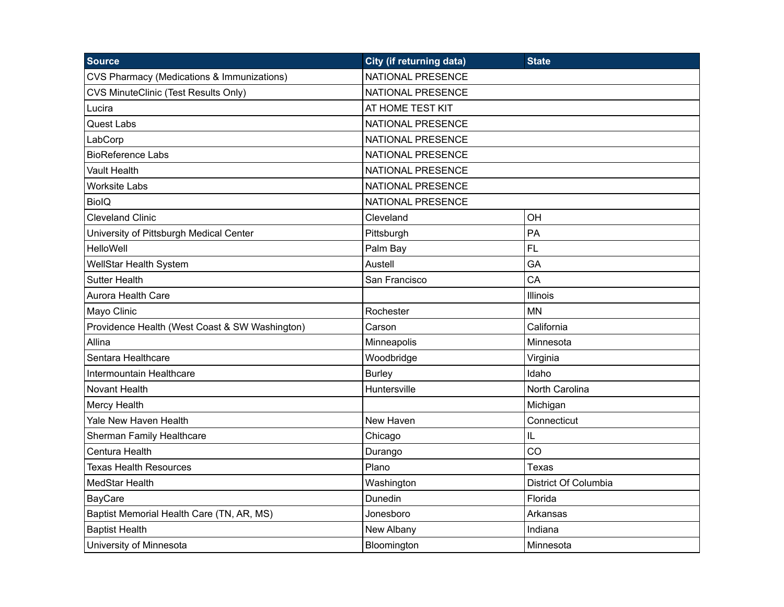| <b>Source</b>                                  | <b>City (if returning data)</b> | <b>State</b>         |
|------------------------------------------------|---------------------------------|----------------------|
| CVS Pharmacy (Medications & Immunizations)     | NATIONAL PRESENCE               |                      |
| <b>CVS MinuteClinic (Test Results Only)</b>    | NATIONAL PRESENCE               |                      |
| Lucira                                         | AT HOME TEST KIT                |                      |
| <b>Quest Labs</b>                              | <b>NATIONAL PRESENCE</b>        |                      |
| LabCorp                                        | <b>NATIONAL PRESENCE</b>        |                      |
| <b>BioReference Labs</b>                       | NATIONAL PRESENCE               |                      |
| <b>Vault Health</b>                            | <b>NATIONAL PRESENCE</b>        |                      |
| <b>Worksite Labs</b>                           | NATIONAL PRESENCE               |                      |
| <b>BiolQ</b>                                   | NATIONAL PRESENCE               |                      |
| <b>Cleveland Clinic</b>                        | Cleveland                       | OH                   |
| University of Pittsburgh Medical Center        | Pittsburgh                      | PA                   |
| <b>HelloWell</b>                               | Palm Bay                        | <b>FL</b>            |
| WellStar Health System                         | Austell                         | GA                   |
| <b>Sutter Health</b>                           | San Francisco                   | CA                   |
| Aurora Health Care                             |                                 | <b>Illinois</b>      |
| Mayo Clinic                                    | Rochester                       | <b>MN</b>            |
| Providence Health (West Coast & SW Washington) | Carson                          | California           |
| Allina                                         | Minneapolis                     | Minnesota            |
| Sentara Healthcare                             | Woodbridge                      | Virginia             |
| Intermountain Healthcare                       | <b>Burley</b>                   | Idaho                |
| Novant Health                                  | Huntersville                    | North Carolina       |
| <b>Mercy Health</b>                            |                                 | Michigan             |
| Yale New Haven Health                          | New Haven                       | Connecticut          |
| Sherman Family Healthcare                      | Chicago                         | IL                   |
| Centura Health                                 | Durango                         | CO                   |
| <b>Texas Health Resources</b>                  | Plano                           | Texas                |
| MedStar Health                                 | Washington                      | District Of Columbia |
| BayCare                                        | Dunedin                         | Florida              |
| Baptist Memorial Health Care (TN, AR, MS)      | Jonesboro                       | Arkansas             |
| <b>Baptist Health</b>                          | New Albany                      | Indiana              |
| University of Minnesota                        | Bloomington                     | Minnesota            |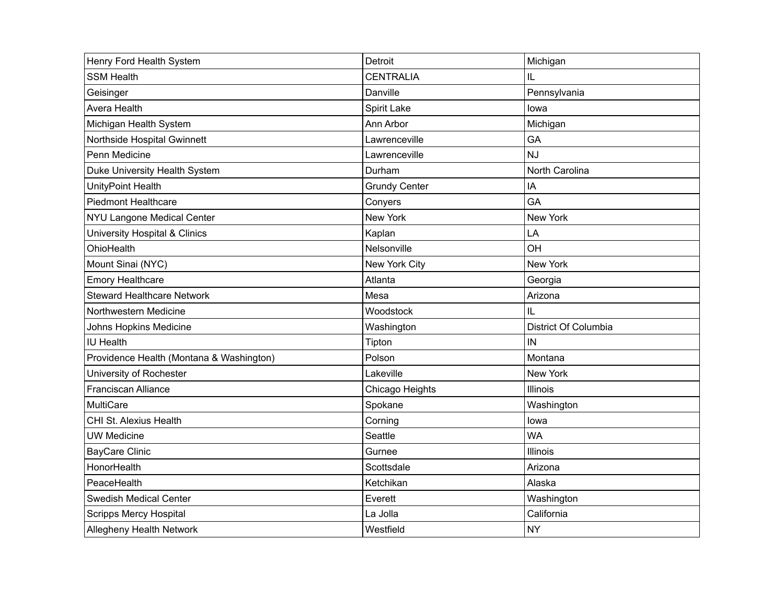| Henry Ford Health System                 | Detroit              | Michigan             |
|------------------------------------------|----------------------|----------------------|
| <b>SSM Health</b>                        | <b>CENTRALIA</b>     | IL                   |
| Geisinger                                | Danville             | Pennsylvania         |
| Avera Health                             | Spirit Lake          | lowa                 |
| Michigan Health System                   | Ann Arbor            | Michigan             |
| Northside Hospital Gwinnett              | Lawrenceville        | GA                   |
| Penn Medicine                            | Lawrenceville        | <b>NJ</b>            |
| Duke University Health System            | Durham               | North Carolina       |
| UnityPoint Health                        | <b>Grundy Center</b> | IA                   |
| <b>Piedmont Healthcare</b>               | Conyers              | GA                   |
| NYU Langone Medical Center               | New York             | New York             |
| <b>University Hospital &amp; Clinics</b> | Kaplan               | LA                   |
| OhioHealth                               | Nelsonville          | OH                   |
| Mount Sinai (NYC)                        | New York City        | <b>New York</b>      |
| <b>Emory Healthcare</b>                  | Atlanta              | Georgia              |
| <b>Steward Healthcare Network</b>        | Mesa                 | Arizona              |
| Northwestern Medicine                    | Woodstock            | IL                   |
| Johns Hopkins Medicine                   | Washington           | District Of Columbia |
| <b>IU Health</b>                         | Tipton               | IN                   |
| Providence Health (Montana & Washington) | Polson               | Montana              |
| University of Rochester                  | Lakeville            | New York             |
| Franciscan Alliance                      | Chicago Heights      | Illinois             |
| MultiCare                                | Spokane              | Washington           |
| CHI St. Alexius Health                   | Corning              | lowa                 |
| <b>UW Medicine</b>                       | Seattle              | <b>WA</b>            |
| <b>BayCare Clinic</b>                    | Gurnee               | Illinois             |
| HonorHealth                              | Scottsdale           | Arizona              |
| PeaceHealth                              | Ketchikan            | Alaska               |
| <b>Swedish Medical Center</b>            | Everett              | Washington           |
| <b>Scripps Mercy Hospital</b>            | La Jolla             | California           |
| Allegheny Health Network                 | Westfield            | <b>NY</b>            |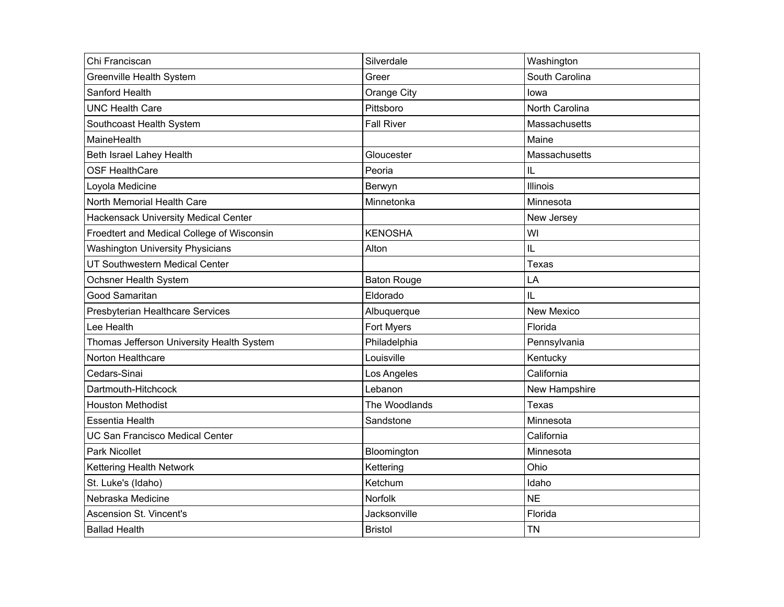| Chi Franciscan                              | Silverdale         | Washington        |
|---------------------------------------------|--------------------|-------------------|
| <b>Greenville Health System</b>             | Greer              | South Carolina    |
| Sanford Health                              | Orange City        | lowa              |
| <b>UNC Health Care</b>                      | Pittsboro          | North Carolina    |
| Southcoast Health System                    | <b>Fall River</b>  | Massachusetts     |
| MaineHealth                                 |                    | Maine             |
| Beth Israel Lahey Health                    | Gloucester         | Massachusetts     |
| <b>OSF HealthCare</b>                       | Peoria             | IL                |
| Loyola Medicine                             | Berwyn             | Illinois          |
| North Memorial Health Care                  | Minnetonka         | Minnesota         |
| <b>Hackensack University Medical Center</b> |                    | New Jersey        |
| Froedtert and Medical College of Wisconsin  | <b>KENOSHA</b>     | WI                |
| <b>Washington University Physicians</b>     | Alton              | IL                |
| UT Southwestern Medical Center              |                    | Texas             |
| Ochsner Health System                       | <b>Baton Rouge</b> | LA                |
| Good Samaritan                              | Eldorado           | IL                |
| Presbyterian Healthcare Services            | Albuquerque        | <b>New Mexico</b> |
| Lee Health                                  | Fort Myers         | Florida           |
| Thomas Jefferson University Health System   | Philadelphia       | Pennsylvania      |
| Norton Healthcare                           | Louisville         | Kentucky          |
| Cedars-Sinai                                | Los Angeles        | California        |
| Dartmouth-Hitchcock                         | Lebanon            | New Hampshire     |
| <b>Houston Methodist</b>                    | The Woodlands      | Texas             |
| <b>Essentia Health</b>                      | Sandstone          | Minnesota         |
| <b>UC San Francisco Medical Center</b>      |                    | California        |
| <b>Park Nicollet</b>                        | Bloomington        | Minnesota         |
| Kettering Health Network                    | Kettering          | Ohio              |
| St. Luke's (Idaho)                          | Ketchum            | Idaho             |
| Nebraska Medicine                           | Norfolk            | <b>NE</b>         |
| <b>Ascension St. Vincent's</b>              | Jacksonville       | Florida           |
| <b>Ballad Health</b>                        | <b>Bristol</b>     | <b>TN</b>         |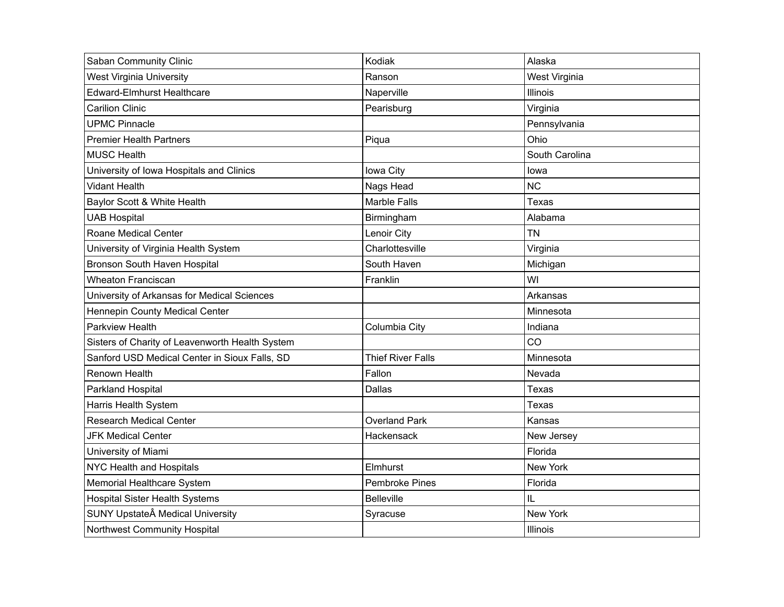| Saban Community Clinic                          | Kodiak                   | Alaska          |
|-------------------------------------------------|--------------------------|-----------------|
| <b>West Virginia University</b>                 | Ranson                   | West Virginia   |
| <b>Edward-Elmhurst Healthcare</b>               | Naperville               | Illinois        |
| <b>Carilion Clinic</b>                          | Pearisburg               | Virginia        |
| <b>UPMC Pinnacle</b>                            |                          | Pennsylvania    |
| <b>Premier Health Partners</b>                  | Piqua                    | Ohio            |
| <b>MUSC Health</b>                              |                          | South Carolina  |
| University of Iowa Hospitals and Clinics        | lowa City                | lowa            |
| <b>Vidant Health</b>                            | Nags Head                | <b>NC</b>       |
| Baylor Scott & White Health                     | <b>Marble Falls</b>      | Texas           |
| <b>UAB Hospital</b>                             | Birmingham               | Alabama         |
| Roane Medical Center                            | Lenoir City              | <b>TN</b>       |
| University of Virginia Health System            | Charlottesville          | Virginia        |
| Bronson South Haven Hospital                    | South Haven              | Michigan        |
| <b>Wheaton Franciscan</b>                       | Franklin                 | WI              |
| University of Arkansas for Medical Sciences     |                          | Arkansas        |
| Hennepin County Medical Center                  |                          | Minnesota       |
| Parkview Health                                 | Columbia City            | Indiana         |
| Sisters of Charity of Leavenworth Health System |                          | CO              |
| Sanford USD Medical Center in Sioux Falls, SD   | <b>Thief River Falls</b> | Minnesota       |
| <b>Renown Health</b>                            | Fallon                   | Nevada          |
| Parkland Hospital                               | Dallas                   | Texas           |
| Harris Health System                            |                          | Texas           |
| <b>Research Medical Center</b>                  | <b>Overland Park</b>     | Kansas          |
| <b>JFK Medical Center</b>                       | Hackensack               | New Jersey      |
| University of Miami                             |                          | Florida         |
| NYC Health and Hospitals                        | Elmhurst                 | <b>New York</b> |
| Memorial Healthcare System                      | <b>Pembroke Pines</b>    | Florida         |
| <b>Hospital Sister Health Systems</b>           | <b>Belleville</b>        | IL              |
| SUNY Upstate Medical University                 | Syracuse                 | New York        |
| Northwest Community Hospital                    |                          | Illinois        |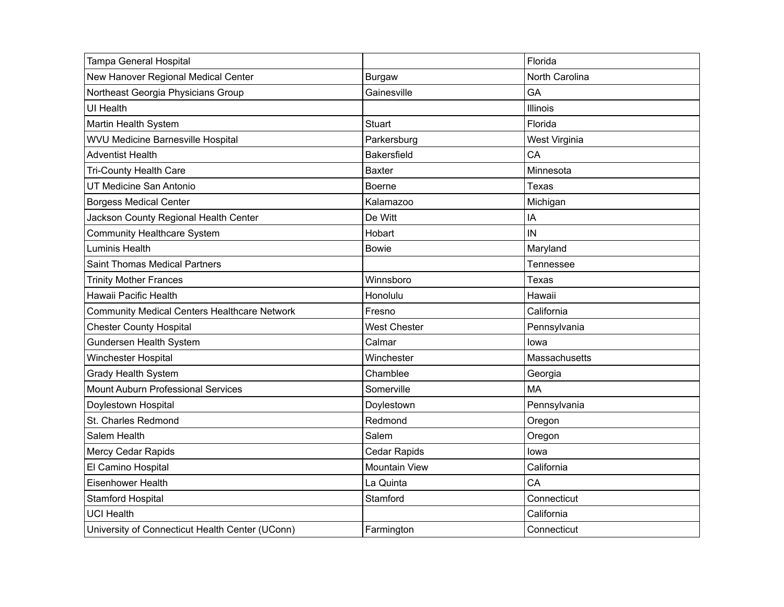| Tampa General Hospital                              |                      | Florida        |
|-----------------------------------------------------|----------------------|----------------|
| New Hanover Regional Medical Center                 | <b>Burgaw</b>        | North Carolina |
| Northeast Georgia Physicians Group                  | Gainesville          | GA             |
| <b>UI Health</b>                                    |                      | Illinois       |
| Martin Health System                                | Stuart               | Florida        |
| <b>WVU Medicine Barnesville Hospital</b>            | Parkersburg          | West Virginia  |
| <b>Adventist Health</b>                             | <b>Bakersfield</b>   | CA             |
| Tri-County Health Care                              | <b>Baxter</b>        | Minnesota      |
| UT Medicine San Antonio                             | <b>Boerne</b>        | Texas          |
| <b>Borgess Medical Center</b>                       | Kalamazoo            | Michigan       |
| Jackson County Regional Health Center               | De Witt              | IA             |
| <b>Community Healthcare System</b>                  | Hobart               | IN             |
| <b>Luminis Health</b>                               | <b>Bowie</b>         | Maryland       |
| <b>Saint Thomas Medical Partners</b>                |                      | Tennessee      |
| <b>Trinity Mother Frances</b>                       | Winnsboro            | Texas          |
| Hawaii Pacific Health                               | Honolulu             | Hawaii         |
| <b>Community Medical Centers Healthcare Network</b> | Fresno               | California     |
| <b>Chester County Hospital</b>                      | <b>West Chester</b>  | Pennsylvania   |
| Gundersen Health System                             | Calmar               | lowa           |
| Winchester Hospital                                 | Winchester           | Massachusetts  |
| Grady Health System                                 | Chamblee             | Georgia        |
| <b>Mount Auburn Professional Services</b>           | Somerville           | <b>MA</b>      |
| Doylestown Hospital                                 | Doylestown           | Pennsylvania   |
| St. Charles Redmond                                 | Redmond              | Oregon         |
| Salem Health                                        | Salem                | Oregon         |
| Mercy Cedar Rapids                                  | Cedar Rapids         | lowa           |
| El Camino Hospital                                  | <b>Mountain View</b> | California     |
| Eisenhower Health                                   | La Quinta            | CA             |
| <b>Stamford Hospital</b>                            | Stamford             | Connecticut    |
| <b>UCI Health</b>                                   |                      | California     |
| University of Connecticut Health Center (UConn)     | Farmington           | Connecticut    |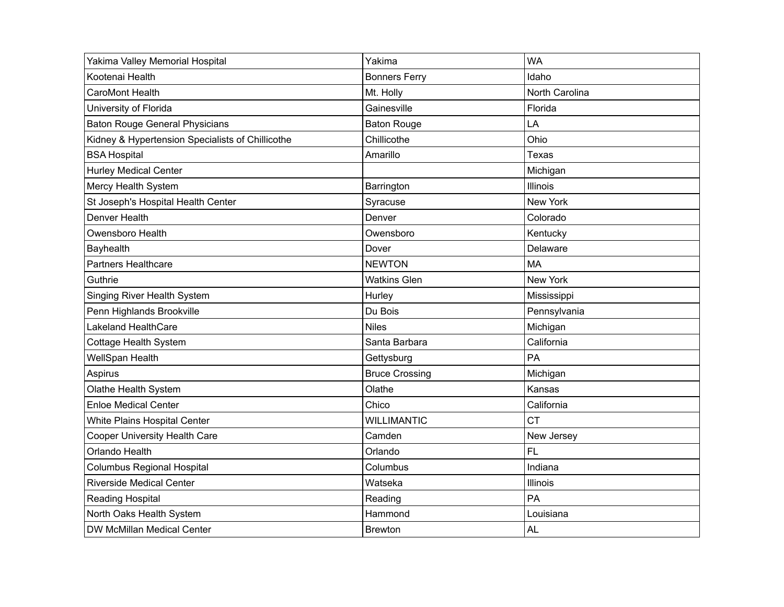| Yakima Valley Memorial Hospital                  | Yakima                | <b>WA</b>       |
|--------------------------------------------------|-----------------------|-----------------|
| Kootenai Health                                  | <b>Bonners Ferry</b>  | Idaho           |
| <b>CaroMont Health</b>                           | Mt. Holly             | North Carolina  |
| University of Florida                            | Gainesville           | Florida         |
| <b>Baton Rouge General Physicians</b>            | <b>Baton Rouge</b>    | LA              |
| Kidney & Hypertension Specialists of Chillicothe | Chillicothe           | Ohio            |
| <b>BSA Hospital</b>                              | Amarillo              | Texas           |
| <b>Hurley Medical Center</b>                     |                       | Michigan        |
| Mercy Health System                              | Barrington            | Illinois        |
| St Joseph's Hospital Health Center               | Syracuse              | New York        |
| Denver Health                                    | Denver                | Colorado        |
| Owensboro Health                                 | Owensboro             | Kentucky        |
| Bayhealth                                        | Dover                 | Delaware        |
| Partners Healthcare                              | <b>NEWTON</b>         | <b>MA</b>       |
| Guthrie                                          | <b>Watkins Glen</b>   | <b>New York</b> |
| Singing River Health System                      | Hurley                | Mississippi     |
| Penn Highlands Brookville                        | Du Bois               | Pennsylvania    |
| <b>Lakeland HealthCare</b>                       | <b>Niles</b>          | Michigan        |
| Cottage Health System                            | Santa Barbara         | California      |
| WellSpan Health                                  | Gettysburg            | PA              |
| Aspirus                                          | <b>Bruce Crossing</b> | Michigan        |
| Olathe Health System                             | Olathe                | Kansas          |
| <b>Enloe Medical Center</b>                      | Chico                 | California      |
| <b>White Plains Hospital Center</b>              | <b>WILLIMANTIC</b>    | <b>CT</b>       |
| <b>Cooper University Health Care</b>             | Camden                | New Jersey      |
| Orlando Health                                   | Orlando               | <b>FL</b>       |
| <b>Columbus Regional Hospital</b>                | Columbus              | Indiana         |
| <b>Riverside Medical Center</b>                  | Watseka               | Illinois        |
| Reading Hospital                                 | Reading               | PA              |
| North Oaks Health System                         | Hammond               | Louisiana       |
| DW McMillan Medical Center                       | <b>Brewton</b>        | <b>AL</b>       |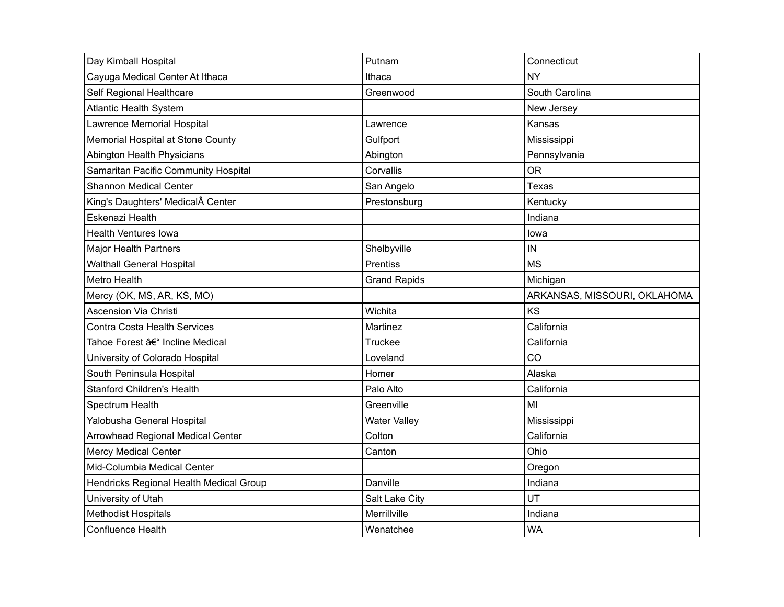| Day Kimball Hospital                    | Putnam              | Connecticut                  |
|-----------------------------------------|---------------------|------------------------------|
| Cayuga Medical Center At Ithaca         | Ithaca              | <b>NY</b>                    |
| Self Regional Healthcare                | Greenwood           | South Carolina               |
| <b>Atlantic Health System</b>           |                     | New Jersey                   |
| Lawrence Memorial Hospital              | Lawrence            | Kansas                       |
| Memorial Hospital at Stone County       | Gulfport            | Mississippi                  |
| Abington Health Physicians              | Abington            | Pennsylvania                 |
| Samaritan Pacific Community Hospital    | Corvallis           | <b>OR</b>                    |
| Shannon Medical Center                  | San Angelo          | Texas                        |
| King's Daughters' Medical Center        | Prestonsburg        | Kentucky                     |
| Eskenazi Health                         |                     | Indiana                      |
| <b>Health Ventures lowa</b>             |                     | lowa                         |
| <b>Major Health Partners</b>            | Shelbyville         | IN                           |
| <b>Walthall General Hospital</b>        | Prentiss            | <b>MS</b>                    |
| Metro Health                            | <b>Grand Rapids</b> | Michigan                     |
| Mercy (OK, MS, AR, KS, MO)              |                     | ARKANSAS, MISSOURI, OKLAHOMA |
| <b>Ascension Via Christi</b>            | Wichita             | KS                           |
| Contra Costa Health Services            | Martinez            | California                   |
| Tahoe Forest – Incline Medical          | Truckee             | California                   |
| University of Colorado Hospital         | Loveland            | CO                           |
| South Peninsula Hospital                | Homer               | Alaska                       |
| <b>Stanford Children's Health</b>       | Palo Alto           | California                   |
| Spectrum Health                         | Greenville          | MI                           |
| Yalobusha General Hospital              | <b>Water Valley</b> | Mississippi                  |
| Arrowhead Regional Medical Center       | Colton              | California                   |
| <b>Mercy Medical Center</b>             | Canton              | Ohio                         |
| Mid-Columbia Medical Center             |                     | Oregon                       |
| Hendricks Regional Health Medical Group | Danville            | Indiana                      |
| University of Utah                      | Salt Lake City      | UT                           |
| <b>Methodist Hospitals</b>              | Merrillville        | Indiana                      |
| Confluence Health                       | Wenatchee           | <b>WA</b>                    |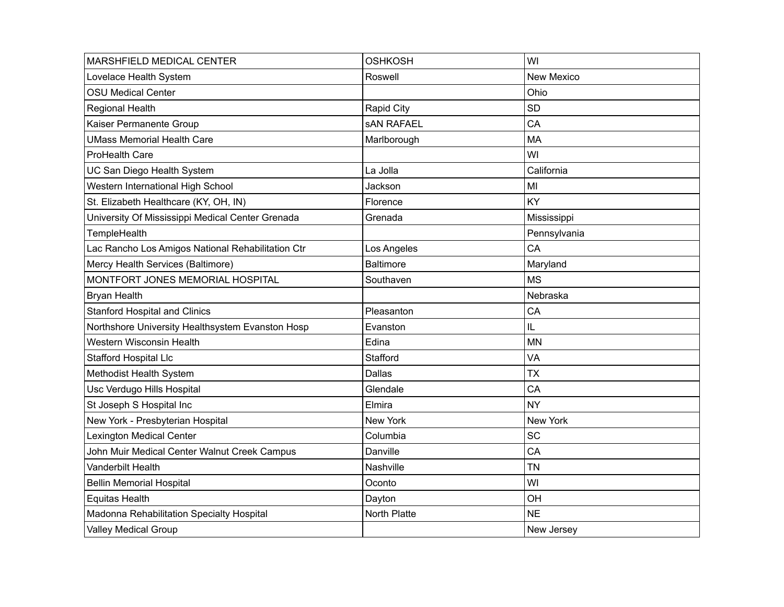| MARSHFIELD MEDICAL CENTER                         | <b>OSHKOSH</b>    | WI           |
|---------------------------------------------------|-------------------|--------------|
| Lovelace Health System                            | Roswell           | New Mexico   |
| <b>OSU Medical Center</b>                         |                   | Ohio         |
| Regional Health                                   | Rapid City        | <b>SD</b>    |
| Kaiser Permanente Group                           | <b>SAN RAFAEL</b> | CA           |
| <b>UMass Memorial Health Care</b>                 | Marlborough       | <b>MA</b>    |
| ProHealth Care                                    |                   | WI           |
| UC San Diego Health System                        | La Jolla          | California   |
| Western International High School                 | Jackson           | MI           |
| St. Elizabeth Healthcare (KY, OH, IN)             | Florence          | KY           |
| University Of Mississippi Medical Center Grenada  | Grenada           | Mississippi  |
| TempleHealth                                      |                   | Pennsylvania |
| Lac Rancho Los Amigos National Rehabilitation Ctr | Los Angeles       | CA           |
| Mercy Health Services (Baltimore)                 | <b>Baltimore</b>  | Maryland     |
| MONTFORT JONES MEMORIAL HOSPITAL                  | Southaven         | <b>MS</b>    |
| <b>Bryan Health</b>                               |                   | Nebraska     |
| <b>Stanford Hospital and Clinics</b>              | Pleasanton        | CA           |
| Northshore University Healthsystem Evanston Hosp  | Evanston          | IL           |
| Western Wisconsin Health                          | Edina             | <b>MN</b>    |
| Stafford Hospital Llc                             | Stafford          | VA           |
| Methodist Health System                           | <b>Dallas</b>     | <b>TX</b>    |
| Usc Verdugo Hills Hospital                        | Glendale          | CA           |
| St Joseph S Hospital Inc                          | Elmira            | <b>NY</b>    |
| New York - Presbyterian Hospital                  | <b>New York</b>   | New York     |
| <b>Lexington Medical Center</b>                   | Columbia          | SC           |
| John Muir Medical Center Walnut Creek Campus      | Danville          | CA           |
| Vanderbilt Health                                 | Nashville         | <b>TN</b>    |
| <b>Bellin Memorial Hospital</b>                   | Oconto            | WI           |
| <b>Equitas Health</b>                             | Dayton            | OH           |
| Madonna Rehabilitation Specialty Hospital         | North Platte      | <b>NE</b>    |
| Valley Medical Group                              |                   | New Jersey   |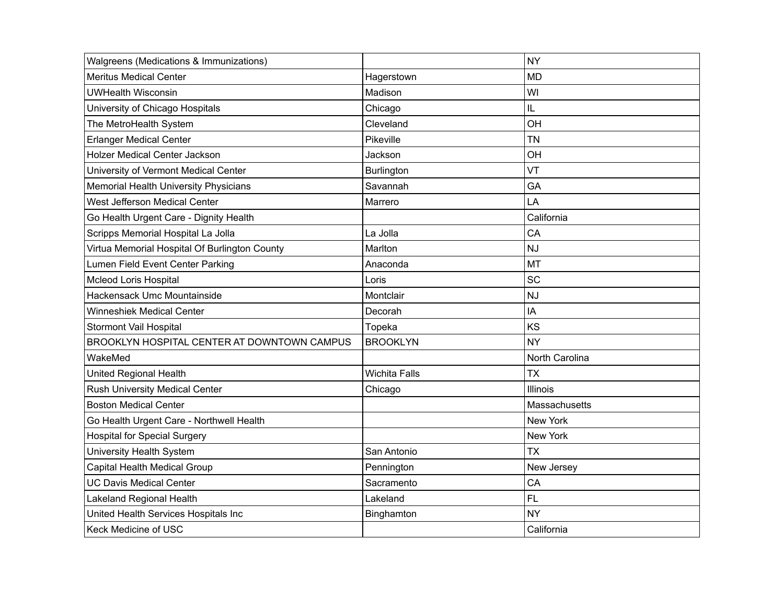| Walgreens (Medications & Immunizations)       |                      | <b>NY</b>       |
|-----------------------------------------------|----------------------|-----------------|
| <b>Meritus Medical Center</b>                 | Hagerstown           | <b>MD</b>       |
| <b>UWHealth Wisconsin</b>                     | Madison              | WI              |
| University of Chicago Hospitals               | Chicago              | IL              |
| The MetroHealth System                        | Cleveland            | OH              |
| <b>Erlanger Medical Center</b>                | Pikeville            | <b>TN</b>       |
| <b>Holzer Medical Center Jackson</b>          | Jackson              | OH              |
| University of Vermont Medical Center          | Burlington           | VT              |
| Memorial Health University Physicians         | Savannah             | GA              |
| West Jefferson Medical Center                 | Marrero              | LA              |
| Go Health Urgent Care - Dignity Health        |                      | California      |
| Scripps Memorial Hospital La Jolla            | La Jolla             | CA              |
| Virtua Memorial Hospital Of Burlington County | Marlton              | <b>NJ</b>       |
| Lumen Field Event Center Parking              | Anaconda             | MT              |
| <b>Mcleod Loris Hospital</b>                  | Loris                | SC              |
| Hackensack Umc Mountainside                   | Montclair            | <b>NJ</b>       |
| <b>Winneshiek Medical Center</b>              | Decorah              | IA              |
| Stormont Vail Hospital                        | Topeka               | KS              |
| BROOKLYN HOSPITAL CENTER AT DOWNTOWN CAMPUS   | <b>BROOKLYN</b>      | <b>NY</b>       |
| WakeMed                                       |                      | North Carolina  |
| United Regional Health                        | <b>Wichita Falls</b> | <b>TX</b>       |
| <b>Rush University Medical Center</b>         | Chicago              | Illinois        |
| <b>Boston Medical Center</b>                  |                      | Massachusetts   |
| Go Health Urgent Care - Northwell Health      |                      | <b>New York</b> |
| <b>Hospital for Special Surgery</b>           |                      | New York        |
| University Health System                      | San Antonio          | <b>TX</b>       |
| Capital Health Medical Group                  | Pennington           | New Jersey      |
| <b>UC Davis Medical Center</b>                | Sacramento           | CA              |
| Lakeland Regional Health                      | Lakeland             | <b>FL</b>       |
| United Health Services Hospitals Inc          | Binghamton           | <b>NY</b>       |
| Keck Medicine of USC                          |                      | California      |